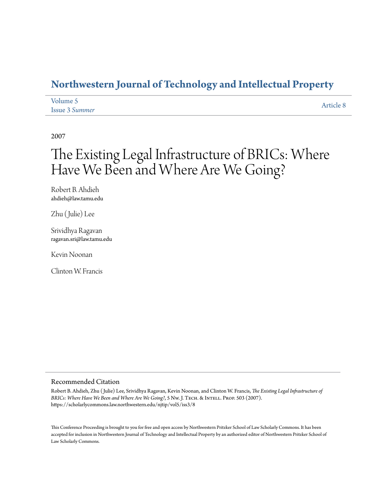## **[Northwestern Journal of Technology and Intellectual Property](https://scholarlycommons.law.northwestern.edu/njtip)**

| Volume 5              | Article 8 |
|-----------------------|-----------|
| <b>Issue 3 Summer</b> |           |

2007

# The Existing Legal Infrastructure of BRICs: Where Have We Been and Where Are We Going?

Robert B. Ahdieh ahdieh@law.tamu.edu

Zhu (Julie) Lee

Srividhya Ragavan ragavan.sri@law.tamu.edu

Kevin Noonan

Clinton W. Francis

#### Recommended Citation

Robert B. Ahdieh, Zhu ( Julie) Lee, Srividhya Ragavan, Kevin Noonan, and Clinton W. Francis, *The Existing Legal Infrastructure of* BRICs: Where Have We Been and Where Are We Going?, 5 Nw. J. TECH. & INTELL. PROP. 503 (2007). https://scholarlycommons.law.northwestern.edu/njtip/vol5/iss3/8

This Conference Proceeding is brought to you for free and open access by Northwestern Pritzker School of Law Scholarly Commons. It has been accepted for inclusion in Northwestern Journal of Technology and Intellectual Property by an authorized editor of Northwestern Pritzker School of Law Scholarly Commons.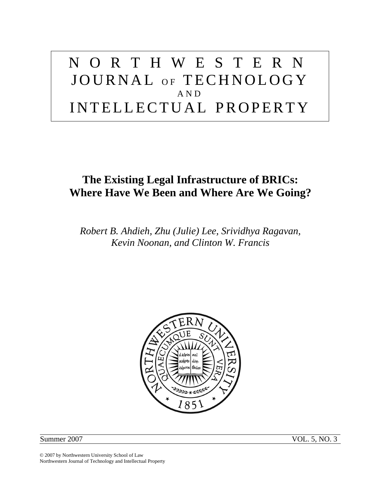# NORTHWESTERN JOURNAL OF TECHNOLOGY AND INTELLECTUAL PROPERTY

## **The Existing Legal Infrastructure of BRICs: Where Have We Been and Where Are We Going?**

*Robert B. Ahdieh, Zhu (Julie) Lee, Srividhya Ragavan, Kevin Noonan, and Clinton W. Francis* 



Summer 2007 VOL. 5, NO. 3

© 2007 by Northwestern University School of Law Northwestern Journal of Technology and Intellectual Property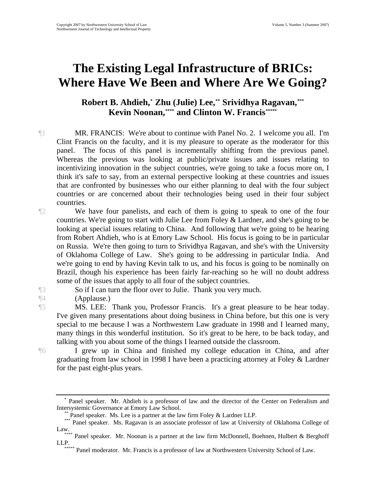# **The Existing Legal Infrastructure of BRICs: Where Have We Been and Where Are We Going?**

### **Robert B. Ahdieh,\* Zhu (Julie) Lee,\*\* Srividhya Ragavan,[\\*\\*\\*](#page-2-2) Kevin Noonan, \*\*\*\*** and Clinton W. Francis [\\*\\*\\*\\*\\*](#page-2-4)

¶1 MR. FRANCIS: We're about to continue with Panel No. 2. I welcome you all. I'm Clint Francis on the faculty, and it is my pleasure to operate as the moderator for this panel. The focus of this panel is incrementally shifting from the previous panel. Whereas the previous was looking at public/private issues and issues relating to incentivizing innovation in the subject countries, we're going to take a focus more on, I think it's safe to say, from an external perspective looking at these countries and issues that are confronted by businesses who our either planning to deal with the four subject countries or are concerned about their technologies being used in their four subject countries.

¶2 We have four panelists, and each of them is going to speak to one of the four countries. We're going to start with Julie Lee from Foley & Lardner, and she's going to be looking at special issues relating to China. And following that we're going to be hearing from Robert Ahdieh, who is at Emory Law School. His focus is going to be in particular on Russia. We're then going to turn to Srividhya Ragavan, and she's with the University of Oklahoma College of Law. She's going to be addressing in particular India. And we're going to end by having Kevin talk to us, and his focus is going to be nominally on Brazil, though his experience has been fairly far-reaching so he will no doubt address some of the issues that apply to all four of the subject countries.

¶3 So if I can turn the floor over to Julie. Thank you very much.

¶4 (Applause.)

¶5 MS. LEE: Thank you, Professor Francis. It's a great pleasure to be hear today. I've given many presentations about doing business in China before, but this one is very special to me because I was a Northwestern Law graduate in 1998 and I learned many, many things in this wonderful institution. So it's great to be here, to be back today, and talking with you about some of the things I learned outside the classroom.

¶6 I grew up in China and finished my college education in China, and after graduating from law school in 1998 I have been a practicing attorney at Foley & Lardner for the past eight-plus years.

<span id="page-2-0"></span><sup>\*</sup> Panel speaker. Mr. Ahdieh is a professor of law and the director of the Center on Federalism and Intersystemic Governance at Emory Law School. \*\* Panel speaker. Ms. Lee is a partner at the law firm Foley & Lardner LLP.

<span id="page-2-2"></span><span id="page-2-1"></span><sup>\*\*\*</sup> Panel speaker. Ms. Ragavan is an associate professor of law at University of Oklahoma College of

<span id="page-2-4"></span><span id="page-2-3"></span><sup>\*\*\*\*</sup> Panel speaker. Mr. Noonan is a partner at the law firm McDonnell, Boehnen, Hulbert & Berghoff LLP.

Panel moderator. Mr. Francis is a professor of law at Northwestern University School of Law.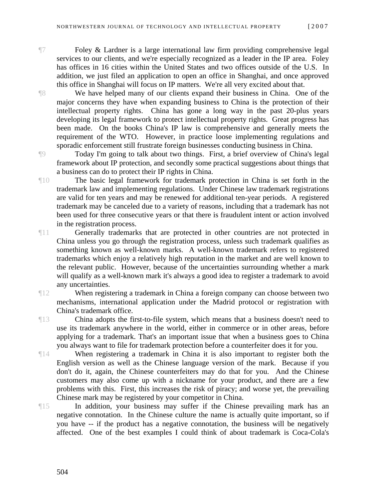¶7 Foley & Lardner is a large international law firm providing comprehensive legal services to our clients, and we're especially recognized as a leader in the IP area. Foley has offices in 16 cities within the United States and two offices outside of the U.S. In addition, we just filed an application to open an office in Shanghai, and once approved this office in Shanghai will focus on IP matters. We're all very excited about that.

¶8 We have helped many of our clients expand their business in China. One of the major concerns they have when expanding business to China is the protection of their intellectual property rights. China has gone a long way in the past 20-plus years developing its legal framework to protect intellectual property rights. Great progress has been made. On the books China's IP law is comprehensive and generally meets the requirement of the WTO. However, in practice loose implementing regulations and sporadic enforcement still frustrate foreign businesses conducting business in China.

¶9 Today I'm going to talk about two things. First, a brief overview of China's legal framework about IP protection, and secondly some practical suggestions about things that a business can do to protect their IP rights in China.

¶10 The basic legal framework for trademark protection in China is set forth in the trademark law and implementing regulations. Under Chinese law trademark registrations are valid for ten years and may be renewed for additional ten-year periods. A registered trademark may be canceled due to a variety of reasons, including that a trademark has not been used for three consecutive years or that there is fraudulent intent or action involved in the registration process.

¶11 Generally trademarks that are protected in other countries are not protected in China unless you go through the registration process, unless such trademark qualifies as something known as well-known marks. A well-known trademark refers to registered trademarks which enjoy a relatively high reputation in the market and are well known to the relevant public. However, because of the uncertainties surrounding whether a mark will qualify as a well-known mark it's always a good idea to register a trademark to avoid any uncertainties.

¶12 When registering a trademark in China a foreign company can choose between two mechanisms, international application under the Madrid protocol or registration with China's trademark office.

¶13 China adopts the first-to-file system, which means that a business doesn't need to use its trademark anywhere in the world, either in commerce or in other areas, before applying for a trademark. That's an important issue that when a business goes to China you always want to file for trademark protection before a counterfeiter does it for you.

¶14 When registering a trademark in China it is also important to register both the English version as well as the Chinese language version of the mark. Because if you don't do it, again, the Chinese counterfeiters may do that for you. And the Chinese customers may also come up with a nickname for your product, and there are a few problems with this. First, this increases the risk of piracy; and worse yet, the prevailing Chinese mark may be registered by your competitor in China.

¶15 In addition, your business may suffer if the Chinese prevailing mark has an negative connotation. In the Chinese culture the name is actually quite important, so if you have -- if the product has a negative connotation, the business will be negatively affected. One of the best examples I could think of about trademark is Coca-Cola's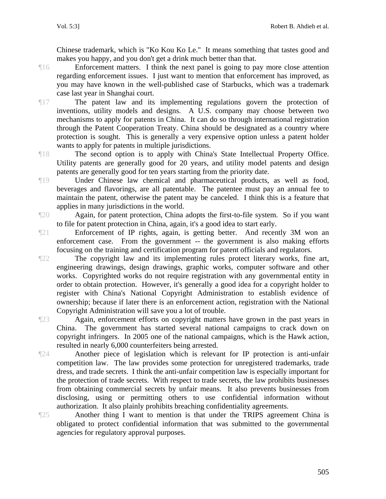Chinese trademark, which is "Ko Kou Ko Le." It means something that tastes good and makes you happy, and you don't get a drink much better than that.

¶16 Enforcement matters. I think the next panel is going to pay more close attention regarding enforcement issues. I just want to mention that enforcement has improved, as you may have known in the well-published case of Starbucks, which was a trademark case last year in Shanghai court.

¶17 The patent law and its implementing regulations govern the protection of inventions, utility models and designs. A U.S. company may choose between two mechanisms to apply for patents in China. It can do so through international registration through the Patent Cooperation Treaty. China should be designated as a country where protection is sought. This is generally a very expensive option unless a patent holder wants to apply for patents in multiple jurisdictions.

¶18 The second option is to apply with China's State Intellectual Property Office. Utility patents are generally good for 20 years, and utility model patents and design patents are generally good for ten years starting from the priority date.

¶19 Under Chinese law chemical and pharmaceutical products, as well as food, beverages and flavorings, are all patentable. The patentee must pay an annual fee to maintain the patent, otherwise the patent may be canceled. I think this is a feature that applies in many jurisdictions in the world.

¶20 Again, for patent protection, China adopts the first-to-file system. So if you want to file for patent protection in China, again, it's a good idea to start early.

¶21 Enforcement of IP rights, again, is getting better. And recently 3M won an enforcement case. From the government -- the government is also making efforts focusing on the training and certification program for patent officials and regulators.

¶22 The copyright law and its implementing rules protect literary works, fine art, engineering drawings, design drawings, graphic works, computer software and other works. Copyrighted works do not require registration with any governmental entity in order to obtain protection. However, it's generally a good idea for a copyright holder to register with China's National Copyright Administration to establish evidence of ownership; because if later there is an enforcement action, registration with the National Copyright Administration will save you a lot of trouble.

¶23 Again, enforcement efforts on copyright matters have grown in the past years in China. The government has started several national campaigns to crack down on copyright infringers. In 2005 one of the national campaigns, which is the Hawk action, resulted in nearly 6,000 counterfeiters being arrested.

¶24 Another piece of legislation which is relevant for IP protection is anti-unfair competition law. The law provides some protection for unregistered trademarks, trade dress, and trade secrets. I think the anti-unfair competition law is especially important for the protection of trade secrets. With respect to trade secrets, the law prohibits businesses from obtaining commercial secrets by unfair means. It also prevents businesses from disclosing, using or permitting others to use confidential information without authorization. It also plainly prohibits breaching confidentiality agreements.

¶25 Another thing I want to mention is that under the TRIPS agreement China is obligated to protect confidential information that was submitted to the governmental agencies for regulatory approval purposes.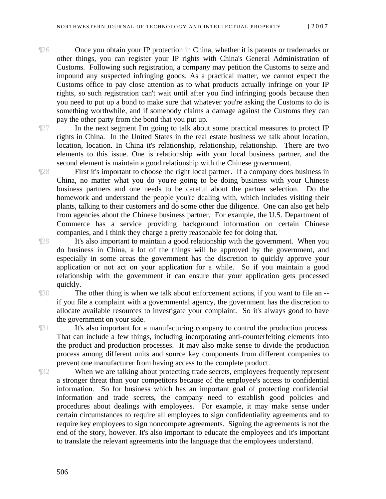The Once you obtain your IP protection in China, whether it is patents or trademarks or other things, you can register your IP rights with China's General Administration of Customs. Following such registration, a company may petition the Customs to seize and impound any suspected infringing goods. As a practical matter, we cannot expect the Customs office to pay close attention as to what products actually infringe on your IP rights, so such registration can't wait until after you find infringing goods because then you need to put up a bond to make sure that whatever you're asking the Customs to do is something worthwhile, and if somebody claims a damage against the Customs they can pay the other party from the bond that you put up.

¶27 In the next segment I'm going to talk about some practical measures to protect IP rights in China. In the United States in the real estate business we talk about location, location, location. In China it's relationship, relationship, relationship. There are two elements to this issue. One is relationship with your local business partner, and the second element is maintain a good relationship with the Chinese government.

¶28 First it's important to choose the right local partner. If a company does business in China, no matter what you do you're going to be doing business with your Chinese business partners and one needs to be careful about the partner selection. Do the homework and understand the people you're dealing with, which includes visiting their plants, talking to their customers and do some other due diligence. One can also get help from agencies about the Chinese business partner. For example, the U.S. Department of Commerce has a service providing background information on certain Chinese companies, and I think they charge a pretty reasonable fee for doing that.

¶29 It's also important to maintain a good relationship with the government. When you do business in China, a lot of the things will be approved by the government, and especially in some areas the government has the discretion to quickly approve your application or not act on your application for a while. So if you maintain a good relationship with the government it can ensure that your application gets processed quickly.

The other thing is when we talk about enforcement actions, if you want to file an -if you file a complaint with a governmental agency, the government has the discretion to allocate available resources to investigate your complaint. So it's always good to have the government on your side.

¶31 It's also important for a manufacturing company to control the production process. That can include a few things, including incorporating anti-counterfeiting elements into the product and production processes. It may also make sense to divide the production process among different units and source key components from different companies to prevent one manufacturer from having access to the complete product.

When we are talking about protecting trade secrets, employees frequently represent a stronger threat than your competitors because of the employee's access to confidential information. So for business which has an important goal of protecting confidential information and trade secrets, the company need to establish good policies and procedures about dealings with employees. For example, it may make sense under certain circumstances to require all employees to sign confidentiality agreements and to require key employees to sign noncompete agreements. Signing the agreements is not the end of the story, however. It's also important to educate the employees and it's important to translate the relevant agreements into the language that the employees understand.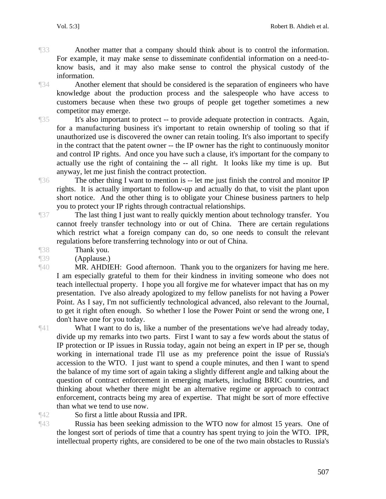¶33 Another matter that a company should think about is to control the information. For example, it may make sense to disseminate confidential information on a need-toknow basis, and it may also make sense to control the physical custody of the information.

¶34 Another element that should be considered is the separation of engineers who have knowledge about the production process and the salespeople who have access to customers because when these two groups of people get together sometimes a new competitor may emerge.

¶35 It's also important to protect -- to provide adequate protection in contracts. Again, for a manufacturing business it's important to retain ownership of tooling so that if unauthorized use is discovered the owner can retain tooling. It's also important to specify in the contract that the patent owner -- the IP owner has the right to continuously monitor and control IP rights. And once you have such a clause, it's important for the company to actually use the right of containing the -- all right. It looks like my time is up. But anyway, let me just finish the contract protection.

¶36 The other thing I want to mention is -- let me just finish the control and monitor IP rights. It is actually important to follow-up and actually do that, to visit the plant upon short notice. And the other thing is to obligate your Chinese business partners to help you to protect your IP rights through contractual relationships.

¶37 The last thing I just want to really quickly mention about technology transfer. You cannot freely transfer technology into or out of China. There are certain regulations which restrict what a foreign company can do, so one needs to consult the relevant regulations before transferring technology into or out of China.

¶38 Thank you.

¶39 (Applause.)

¶40 MR. AHDIEH: Good afternoon. Thank you to the organizers for having me here. I am especially grateful to them for their kindness in inviting someone who does not teach intellectual property. I hope you all forgive me for whatever impact that has on my presentation. I've also already apologized to my fellow panelists for not having a Power Point. As I say, I'm not sufficiently technological advanced, also relevant to the Journal, to get it right often enough. So whether I lose the Power Point or send the wrong one, I don't have one for you today.

¶41 What I want to do is, like a number of the presentations we've had already today, divide up my remarks into two parts. First I want to say a few words about the status of IP protection or IP issues in Russia today, again not being an expert in IP per se, though working in international trade I'll use as my preference point the issue of Russia's accession to the WTO. I just want to spend a couple minutes, and then I want to spend the balance of my time sort of again taking a slightly different angle and talking about the question of contract enforcement in emerging markets, including BRIC countries, and thinking about whether there might be an alternative regime or approach to contract enforcement, contracts being my area of expertise. That might be sort of more effective than what we tend to use now.

¶42 So first a little about Russia and IPR.

¶43 Russia has been seeking admission to the WTO now for almost 15 years. One of the longest sort of periods of time that a country has spent trying to join the WTO. IPR, intellectual property rights, are considered to be one of the two main obstacles to Russia's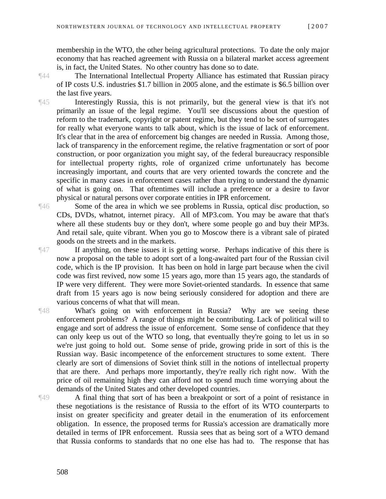membership in the WTO, the other being agricultural protections. To date the only major economy that has reached agreement with Russia on a bilateral market access agreement is, in fact, the United States. No other country has done so to date.

¶44 The International Intellectual Property Alliance has estimated that Russian piracy of IP costs U.S. industries \$1.7 billion in 2005 alone, and the estimate is \$6.5 billion over the last five years.

¶45 Interestingly Russia, this is not primarily, but the general view is that it's not primarily an issue of the legal regime. You'll see discussions about the question of reform to the trademark, copyright or patent regime, but they tend to be sort of surrogates for really what everyone wants to talk about, which is the issue of lack of enforcement. It's clear that in the area of enforcement big changes are needed in Russia. Among those, lack of transparency in the enforcement regime, the relative fragmentation or sort of poor construction, or poor organization you might say, of the federal bureaucracy responsible for intellectual property rights, role of organized crime unfortunately has become increasingly important, and courts that are very oriented towards the concrete and the specific in many cases in enforcement cases rather than trying to understand the dynamic of what is going on. That oftentimes will include a preference or a desire to favor physical or natural persons over corporate entities in IPR enforcement.

¶46 Some of the area in which we see problems in Russia, optical disc production, so CDs, DVDs, whatnot, internet piracy. All of MP3.com. You may be aware that that's where all these students buy or they don't, where some people go and buy their MP3s. And retail sale, quite vibrant. When you go to Moscow there is a vibrant sale of pirated goods on the streets and in the markets.

¶47 If anything, on these issues it is getting worse. Perhaps indicative of this there is now a proposal on the table to adopt sort of a long-awaited part four of the Russian civil code, which is the IP provision. It has been on hold in large part because when the civil code was first revived, now some 15 years ago, more than 15 years ago, the standards of IP were very different. They were more Soviet-oriented standards. In essence that same draft from 15 years ago is now being seriously considered for adoption and there are various concerns of what that will mean.

¶48 What's going on with enforcement in Russia? Why are we seeing these enforcement problems? A range of things might be contributing. Lack of political will to engage and sort of address the issue of enforcement. Some sense of confidence that they can only keep us out of the WTO so long, that eventually they're going to let us in so we're just going to hold out. Some sense of pride, growing pride in sort of this is the Russian way. Basic incompetence of the enforcement structures to some extent. There clearly are sort of dimensions of Soviet think still in the notions of intellectual property that are there. And perhaps more importantly, they're really rich right now. With the price of oil remaining high they can afford not to spend much time worrying about the demands of the United States and other developed countries.

¶49 A final thing that sort of has been a breakpoint or sort of a point of resistance in these negotiations is the resistance of Russia to the effort of its WTO counterparts to insist on greater specificity and greater detail in the enumeration of its enforcement obligation. In essence, the proposed terms for Russia's accession are dramatically more detailed in terms of IPR enforcement. Russia sees that as being sort of a WTO demand that Russia conforms to standards that no one else has had to. The response that has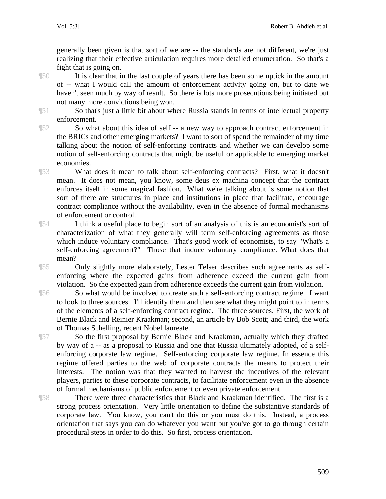generally been given is that sort of we are -- the standards are not different, we're just realizing that their effective articulation requires more detailed enumeration. So that's a fight that is going on.

¶50 It is clear that in the last couple of years there has been some uptick in the amount of -- what I would call the amount of enforcement activity going on, but to date we haven't seen much by way of result. So there is lots more prosecutions being initiated but not many more convictions being won.

¶51 So that's just a little bit about where Russia stands in terms of intellectual property enforcement.

¶52 So what about this idea of self -- a new way to approach contract enforcement in the BRICs and other emerging markets? I want to sort of spend the remainder of my time talking about the notion of self-enforcing contracts and whether we can develop some notion of self-enforcing contracts that might be useful or applicable to emerging market economies.

¶53 What does it mean to talk about self-enforcing contracts? First, what it doesn't mean. It does not mean, you know, some deus ex machina concept that the contract enforces itself in some magical fashion. What we're talking about is some notion that sort of there are structures in place and institutions in place that facilitate, encourage contract compliance without the availability, even in the absence of formal mechanisms of enforcement or control.

¶54 I think a useful place to begin sort of an analysis of this is an economist's sort of characterization of what they generally will term self-enforcing agreements as those which induce voluntary compliance. That's good work of economists, to say "What's a self-enforcing agreement?" Those that induce voluntary compliance. What does that mean?

¶55 Only slightly more elaborately, Lester Telser describes such agreements as selfenforcing where the expected gains from adherence exceed the current gain from violation. So the expected gain from adherence exceeds the current gain from violation.

¶56 So what would be involved to create such a self-enforcing contract regime. I want to look to three sources. I'll identify them and then see what they might point to in terms of the elements of a self-enforcing contract regime. The three sources. First, the work of Bernie Black and Reinier Kraakman; second, an article by Bob Scott; and third, the work of Thomas Schelling, recent Nobel laureate.

¶57 So the first proposal by Bernie Black and Kraakman, actually which they drafted by way of a -- as a proposal to Russia and one that Russia ultimately adopted, of a selfenforcing corporate law regime. Self-enforcing corporate law regime. In essence this regime offered parties to the web of corporate contracts the means to protect their interests. The notion was that they wanted to harvest the incentives of the relevant players, parties to these corporate contracts, to facilitate enforcement even in the absence of formal mechanisms of public enforcement or even private enforcement.

¶58 There were three characteristics that Black and Kraakman identified. The first is a strong process orientation. Very little orientation to define the substantive standards of corporate law. You know, you can't do this or you must do this. Instead, a process orientation that says you can do whatever you want but you've got to go through certain procedural steps in order to do this. So first, process orientation.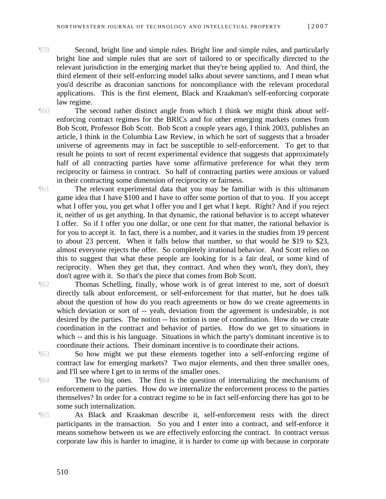- ¶59 Second, bright line and simple rules. Bright line and simple rules, and particularly bright line and simple rules that are sort of tailored to or specifically directed to the relevant jurisdiction in the emerging market that they're being applied to. And third, the third element of their self-enforcing model talks about severe sanctions, and I mean what you'd describe as draconian sanctions for noncompliance with the relevant procedural applications. This is the first element, Black and Kraakman's self-enforcing corporate law regime.
- ¶60 The second rather distinct angle from which I think we might think about selfenforcing contract regimes for the BRICs and for other emerging markets comes from Bob Scott, Professor Bob Scott. Bob Scott a couple years ago, I think 2003, publishes an article, I think in the Columbia Law Review, in which he sort of suggests that a broader universe of agreements may in fact be susceptible to self-enforcement. To get to that result he points to sort of recent experimental evidence that suggests that approximately half of all contracting parties have some affirmative preference for what they term reciprocity or fairness in contract. So half of contracting parties were anxious or valued in their contracting some dimension of reciprocity or fairness.
- ¶61 The relevant experimental data that you may be familiar with is this ultimatum game idea that I have \$100 and I have to offer some portion of that to you. If you accept what I offer you, you get what I offer you and I get what I kept. Right? And if you reject it, neither of us get anything. In that dynamic, the rational behavior is to accept whatever I offer. So if I offer you one dollar, or one cent for that matter, the rational behavior is for you to accept it. In fact, there is a number, and it varies in the studies from 19 percent to about 23 percent. When it falls below that number, so that would be \$19 to \$23, almost everyone rejects the offer. So completely irrational behavior. And Scott relies on this to suggest that what these people are looking for is a fair deal, or some kind of reciprocity. When they get that, they contract. And when they won't, they don't, they don't agree with it. So that's the piece that comes from Bob Scott.
- ¶62 Thomas Schelling, finally, whose work is of great interest to me, sort of doesn't directly talk about enforcement, or self-enforcement for that matter, but he does talk about the question of how do you reach agreements or how do we create agreements in which deviation or sort of -- yeah, deviation from the agreement is undesirable, is not desired by the parties. The notion -- his notion is one of coordination. How do we create coordination in the contract and behavior of parties. How do we get to situations in which -- and this is his language. Situations in which the party's dominant incentive is to coordinate their actions. Their dominant incentive is to coordinate their actions.
- ¶63 So how might we put these elements together into a self-enforcing regime of contract law for emerging markets? Two major elements, and then three smaller ones, and I'll see where I get to in terms of the smaller ones.
- ¶64 The two big ones. The first is the question of internalizing the mechanisms of enforcement to the parties. How do we internalize the enforcement process to the parties themselves? In order for a contract regime to be in fact self-enforcing there has got to be some such internalization.

¶65 As Black and Kraakman describe it, self-enforcement rests with the direct participants in the transaction. So you and I enter into a contract, and self-enforce it means somehow between us we are effectively enforcing the contract. In contract versus corporate law this is harder to imagine, it is harder to come up with because in corporate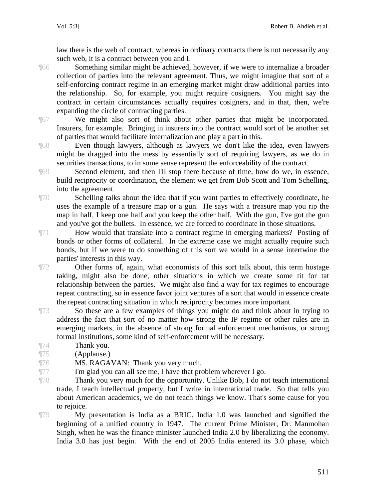law there is the web of contract, whereas in ordinary contracts there is not necessarily any such web, it is a contract between you and I.

¶66 Something similar might be achieved, however, if we were to internalize a broader collection of parties into the relevant agreement. Thus, we might imagine that sort of a self-enforcing contract regime in an emerging market might draw additional parties into the relationship. So, for example, you might require cosigners. You might say the contract in certain circumstances actually requires cosigners, and in that, then, we're expanding the circle of contracting parties.

¶67 We might also sort of think about other parties that might be incorporated. Insurers, for example. Bringing in insurers into the contract would sort of be another set of parties that would facilitate internalization and play a part in this.

¶68 Even though lawyers, although as lawyers we don't like the idea, even lawyers might be dragged into the mess by essentially sort of requiring lawyers, as we do in securities transactions, to in some sense represent the enforceability of the contract.

¶69 Second element, and then I'll stop there because of time, how do we, in essence, build reciprocity or coordination, the element we get from Bob Scott and Tom Schelling, into the agreement.

¶70 Schelling talks about the idea that if you want parties to effectively coordinate, he uses the example of a treasure map or a gun. He says with a treasure map you rip the map in half, I keep one half and you keep the other half. With the gun, I've got the gun and you've got the bullets. In essence, we are forced to coordinate in those situations.

¶71 How would that translate into a contract regime in emerging markets? Posting of bonds or other forms of collateral. In the extreme case we might actually require such bonds, but if we were to do something of this sort we would in a sense intertwine the parties' interests in this way.

¶72 Other forms of, again, what economists of this sort talk about, this term hostage taking, might also be done, other situations in which we create some tit for tat relationship between the parties. We might also find a way for tax regimes to encourage repeat contracting, so in essence favor joint ventures of a sort that would in essence create the repeat contracting situation in which reciprocity becomes more important.

¶73 So these are a few examples of things you might do and think about in trying to address the fact that sort of no matter how strong the IP regime or other rules are in emerging markets, in the absence of strong formal enforcement mechanisms, or strong formal institutions, some kind of self-enforcement will be necessary.

¶74 Thank you.

¶75 (Applause.)

¶76 MS. RAGAVAN: Thank you very much.

¶77 I'm glad you can all see me, I have that problem wherever I go.

¶78 Thank you very much for the opportunity. Unlike Bob, I do not teach international trade, I teach intellectual property, but I write in international trade. So that tells you about American academics, we do not teach things we know. That's some cause for you to rejoice.

¶79 My presentation is India as a BRIC. India 1.0 was launched and signified the beginning of a unified country in 1947. The current Prime Minister, Dr. Manmohan Singh, when he was the finance minister launched India 2.0 by liberalizing the economy. India 3.0 has just begin. With the end of 2005 India entered its 3.0 phase, which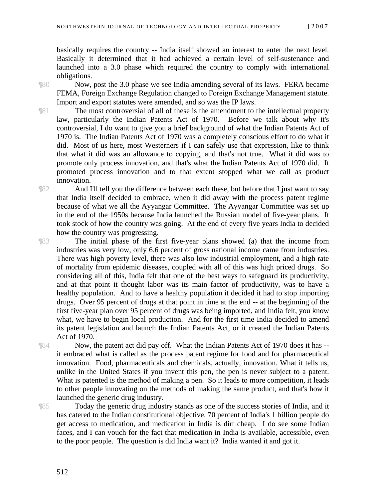basically requires the country -- India itself showed an interest to enter the next level. Basically it determined that it had achieved a certain level of self-sustenance and launched into a 3.0 phase which required the country to comply with international obligations.

¶80 Now, post the 3.0 phase we see India amending several of its laws. FERA became FEMA, Foreign Exchange Regulation changed to Foreign Exchange Management statute. Import and export statutes were amended, and so was the IP laws.

¶81 The most controversial of all of these is the amendment to the intellectual property law, particularly the Indian Patents Act of 1970. Before we talk about why it's controversial, I do want to give you a brief background of what the Indian Patents Act of 1970 is. The Indian Patents Act of 1970 was a completely conscious effort to do what it did. Most of us here, most Westerners if I can safely use that expression, like to think that what it did was an allowance to copying, and that's not true. What it did was to promote only process innovation, and that's what the Indian Patents Act of 1970 did. It promoted process innovation and to that extent stopped what we call as product innovation.

¶82 And I'll tell you the difference between each these, but before that I just want to say that India itself decided to embrace, when it did away with the process patent regime because of what we all the Ayyangar Committee. The Ayyangar Committee was set up in the end of the 1950s because India launched the Russian model of five-year plans. It took stock of how the country was going. At the end of every five years India to decided how the country was progressing.

¶83 The initial phase of the first five-year plans showed (a) that the income from industries was very low, only 6.6 percent of gross national income came from industries. There was high poverty level, there was also low industrial employment, and a high rate of mortality from epidemic diseases, coupled with all of this was high priced drugs. So considering all of this, India felt that one of the best ways to safeguard its productivity, and at that point it thought labor was its main factor of productivity, was to have a healthy population. And to have a healthy population it decided it had to stop importing drugs. Over 95 percent of drugs at that point in time at the end -- at the beginning of the first five-year plan over 95 percent of drugs was being imported, and India felt, you know what, we have to begin local production. And for the first time India decided to amend its patent legislation and launch the Indian Patents Act, or it created the Indian Patents Act of 1970.

¶84 Now, the patent act did pay off. What the Indian Patents Act of 1970 does it has - it embraced what is called as the process patent regime for food and for pharmaceutical innovation. Food, pharmaceuticals and chemicals, actually, innovation. What it tells us, unlike in the United States if you invent this pen, the pen is never subject to a patent. What is patented is the method of making a pen. So it leads to more competition, it leads to other people innovating on the methods of making the same product, and that's how it launched the generic drug industry.

¶85 Today the generic drug industry stands as one of the success stories of India, and it has catered to the Indian constitutional objective. 70 percent of India's 1 billion people do get access to medication, and medication in India is dirt cheap. I do see some Indian faces, and I can vouch for the fact that medication in India is available, accessible, even to the poor people. The question is did India want it? India wanted it and got it.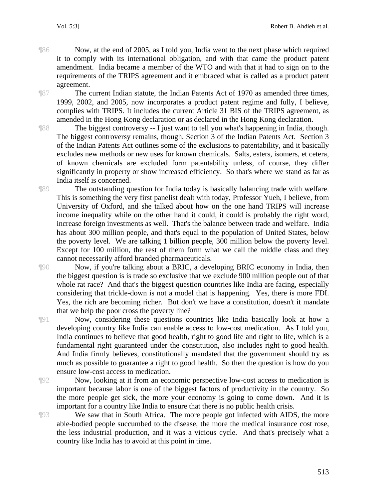¶86 Now, at the end of 2005, as I told you, India went to the next phase which required it to comply with its international obligation, and with that came the product patent amendment. India became a member of the WTO and with that it had to sign on to the requirements of the TRIPS agreement and it embraced what is called as a product patent agreement.

¶87 The current Indian statute, the Indian Patents Act of 1970 as amended three times, 1999, 2002, and 2005, now incorporates a product patent regime and fully, I believe, complies with TRIPS. It includes the current Article 31 BIS of the TRIPS agreement, as amended in the Hong Kong declaration or as declared in the Hong Kong declaration.

¶88 The biggest controversy -- I just want to tell you what's happening in India, though. The biggest controversy remains, though, Section 3 of the Indian Patents Act. Section 3 of the Indian Patents Act outlines some of the exclusions to patentability, and it basically excludes new methods or new uses for known chemicals. Salts, esters, isomers, et cetera, of known chemicals are excluded form patentability unless, of course, they differ significantly in property or show increased efficiency. So that's where we stand as far as India itself is concerned.

¶89 The outstanding question for India today is basically balancing trade with welfare. This is something the very first panelist dealt with today, Professor Yueh, I believe, from University of Oxford, and she talked about how on the one hand TRIPS will increase income inequality while on the other hand it could, it could is probably the right word, increase foreign investments as well. That's the balance between trade and welfare. India has about 300 million people, and that's equal to the population of United States, below the poverty level. We are talking 1 billion people, 300 million below the poverty level. Except for 100 million, the rest of them form what we call the middle class and they cannot necessarily afford branded pharmaceuticals.

¶90 Now, if you're talking about a BRIC, a developing BRIC economy in India, then the biggest question is is trade so exclusive that we exclude 900 million people out of that whole rat race? And that's the biggest question countries like India are facing, especially considering that trickle-down is not a model that is happening. Yes, there is more FDI. Yes, the rich are becoming richer. But don't we have a constitution, doesn't it mandate that we help the poor cross the poverty line?

¶91 Now, considering these questions countries like India basically look at how a developing country like India can enable access to low-cost medication. As I told you, India continues to believe that good health, right to good life and right to life, which is a fundamental right guaranteed under the constitution, also includes right to good health. And India firmly believes, constitutionally mandated that the government should try as much as possible to guarantee a right to good health. So then the question is how do you ensure low-cost access to medication.

¶92 Now, looking at it from an economic perspective low-cost access to medication is important because labor is one of the biggest factors of productivity in the country. So the more people get sick, the more your economy is going to come down. And it is important for a country like India to ensure that there is no public health crisis.

¶93 We saw that in South Africa. The more people got infected with AIDS, the more able-bodied people succumbed to the disease, the more the medical insurance cost rose, the less industrial production, and it was a vicious cycle. And that's precisely what a country like India has to avoid at this point in time.

513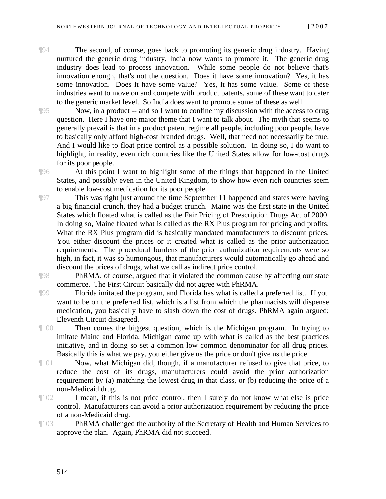¶94 The second, of course, goes back to promoting its generic drug industry. Having nurtured the generic drug industry, India now wants to promote it. The generic drug industry does lead to process innovation. While some people do not believe that's innovation enough, that's not the question. Does it have some innovation? Yes, it has some innovation. Does it have some value? Yes, it has some value. Some of these industries want to move on and compete with product patents, some of these want to cater to the generic market level. So India does want to promote some of these as well.

¶95 Now, in a product -- and so I want to confine my discussion with the access to drug question. Here I have one major theme that I want to talk about. The myth that seems to generally prevail is that in a product patent regime all people, including poor people, have to basically only afford high-cost branded drugs. Well, that need not necessarily be true. And I would like to float price control as a possible solution. In doing so, I do want to highlight, in reality, even rich countries like the United States allow for low-cost drugs for its poor people.

¶96 At this point I want to highlight some of the things that happened in the United States, and possibly even in the United Kingdom, to show how even rich countries seem to enable low-cost medication for its poor people.

¶97 This was right just around the time September 11 happened and states were having a big financial crunch, they had a budget crunch. Maine was the first state in the United States which floated what is called as the Fair Pricing of Prescription Drugs Act of 2000. In doing so, Maine floated what is called as the RX Plus program for pricing and profits. What the RX Plus program did is basically mandated manufacturers to discount prices. You either discount the prices or it created what is called as the prior authorization requirements. The procedural burdens of the prior authorization requirements were so high, in fact, it was so humongous, that manufacturers would automatically go ahead and discount the prices of drugs, what we call as indirect price control.

¶98 PhRMA, of course, argued that it violated the common cause by affecting our state commerce. The First Circuit basically did not agree with PhRMA.

- ¶99 Florida imitated the program, and Florida has what is called a preferred list. If you want to be on the preferred list, which is a list from which the pharmacists will dispense medication, you basically have to slash down the cost of drugs. PhRMA again argued; Eleventh Circuit disagreed.
- ¶100 Then comes the biggest question, which is the Michigan program. In trying to imitate Maine and Florida, Michigan came up with what is called as the best practices initiative, and in doing so set a common low common denominator for all drug prices. Basically this is what we pay, you either give us the price or don't give us the price.
- ¶101 Now, what Michigan did, though, if a manufacturer refused to give that price, to reduce the cost of its drugs, manufacturers could avoid the prior authorization requirement by (a) matching the lowest drug in that class, or (b) reducing the price of a non-Medicaid drug.
- ¶102 I mean, if this is not price control, then I surely do not know what else is price control. Manufacturers can avoid a prior authorization requirement by reducing the price of a non-Medicaid drug.
- ¶103 PhRMA challenged the authority of the Secretary of Health and Human Services to approve the plan. Again, PhRMA did not succeed.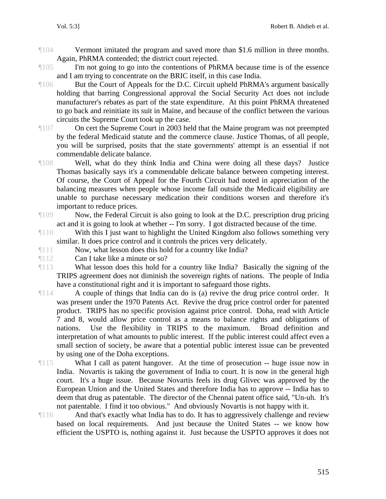- ¶104 Vermont imitated the program and saved more than \$1.6 million in three months. Again, PhRMA contended; the district court rejected.
- ¶105 I'm not going to go into the contentions of PhRMA because time is of the essence and I am trying to concentrate on the BRIC itself, in this case India.
- ¶106 But the Court of Appeals for the D.C. Circuit upheld PhRMA's argument basically holding that barring Congressional approval the Social Security Act does not include manufacturer's rebates as part of the state expenditure. At this point PhRMA threatened to go back and reinitiate its suit in Maine, and because of the conflict between the various circuits the Supreme Court took up the case.
- ¶107 On cert the Supreme Court in 2003 held that the Maine program was not preempted by the federal Medicaid statute and the commerce clause. Justice Thomas, of all people, you will be surprised, posits that the state governments' attempt is an essential if not commendable delicate balance.
- ¶108 Well, what do they think India and China were doing all these days? Justice Thomas basically says it's a commendable delicate balance between competing interest. Of course, the Court of Appeal for the Fourth Circuit had noted in appreciation of the balancing measures when people whose income fall outside the Medicaid eligibility are unable to purchase necessary medication their conditions worsen and therefore it's important to reduce prices.
- ¶109 Now, the Federal Circuit is also going to look at the D.C. prescription drug pricing act and it is going to look at whether -- I'm sorry. I got distracted because of the time.
- ¶110 With this I just want to highlight the United Kingdom also follows something very similar. It does price control and it controls the prices very delicately.
- ¶111 Now, what lesson does this hold for a country like India?
- ¶112 Can I take like a minute or so?
- ¶113 What lesson does this hold for a country like India? Basically the signing of the TRIPS agreement does not diminish the sovereign rights of nations. The people of India have a constitutional right and it is important to safeguard those rights.
- ¶114 A couple of things that India can do is (a) revive the drug price control order. It was present under the 1970 Patents Act. Revive the drug price control order for patented product. TRIPS has no specific provision against price control. Doha, read with Article 7 and 8, would allow price control as a means to balance rights and obligations of nations. Use the flexibility in TRIPS to the maximum. Broad definition and interpretation of what amounts to public interest. If the public interest could affect even a small section of society, be aware that a potential public interest issue can be prevented by using one of the Doha exceptions.
- ¶115 What I call as patent hangover. At the time of prosecution -- huge issue now in India. Novartis is taking the government of India to court. It is now in the general high court. It's a huge issue. Because Novartis feels its drug Glivec was approved by the European Union and the United States and therefore India has to approve -- India has to deem that drug as patentable. The director of the Chennai patent office said, "Un-uh. It's not patentable. I find it too obvious." And obviously Novartis is not happy with it.
- ¶116 And that's exactly what India has to do. It has to aggressively challenge and review based on local requirements. And just because the United States -- we know how efficient the USPTO is, nothing against it. Just because the USPTO approves it does not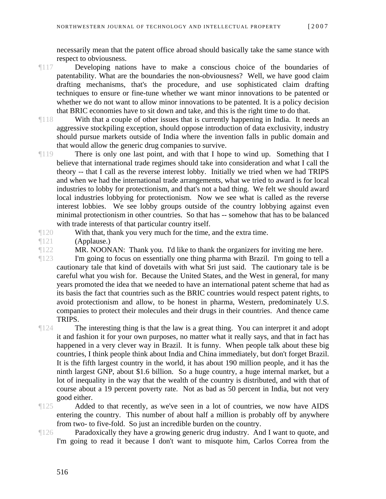necessarily mean that the patent office abroad should basically take the same stance with respect to obviousness.

- ¶117 Developing nations have to make a conscious choice of the boundaries of patentability. What are the boundaries the non-obviousness? Well, we have good claim drafting mechanisms, that's the procedure, and use sophisticated claim drafting techniques to ensure or fine-tune whether we want minor innovations to be patented or whether we do not want to allow minor innovations to be patented. It is a policy decision that BRIC economies have to sit down and take, and this is the right time to do that.
- ¶118 With that a couple of other issues that is currently happening in India. It needs an aggressive stockpiling exception, should oppose introduction of data exclusivity, industry should pursue markets outside of India where the invention falls in public domain and that would allow the generic drug companies to survive.
- ¶119 There is only one last point, and with that I hope to wind up. Something that I believe that international trade regimes should take into consideration and what I call the theory -- that I call as the reverse interest lobby. Initially we tried when we had TRIPS and when we had the international trade arrangements, what we tried to award is for local industries to lobby for protectionism, and that's not a bad thing. We felt we should award local industries lobbying for protectionism. Now we see what is called as the reverse interest lobbies. We see lobby groups outside of the country lobbying against even minimal protectionism in other countries. So that has -- somehow that has to be balanced with trade interests of that particular country itself.
- ¶120 With that, thank you very much for the time, and the extra time.
- ¶121 (Applause.)
- ¶122 MR. NOONAN: Thank you. I'd like to thank the organizers for inviting me here.

¶123 I'm going to focus on essentially one thing pharma with Brazil. I'm going to tell a cautionary tale that kind of dovetails with what Sri just said. The cautionary tale is be careful what you wish for. Because the United States, and the West in general, for many years promoted the idea that we needed to have an international patent scheme that had as its basis the fact that countries such as the BRIC countries would respect patent rights, to avoid protectionism and allow, to be honest in pharma, Western, predominately U.S. companies to protect their molecules and their drugs in their countries. And thence came TRIPS.

¶124 The interesting thing is that the law is a great thing. You can interpret it and adopt it and fashion it for your own purposes, no matter what it really says, and that in fact has happened in a very clever way in Brazil. It is funny. When people talk about these big countries, I think people think about India and China immediately, but don't forget Brazil. It is the fifth largest country in the world, it has about 190 million people, and it has the ninth largest GNP, about \$1.6 billion. So a huge country, a huge internal market, but a lot of inequality in the way that the wealth of the country is distributed, and with that of course about a 19 percent poverty rate. Not as bad as 50 percent in India, but not very good either.

¶125 Added to that recently, as we've seen in a lot of countries, we now have AIDS entering the country. This number of about half a million is probably off by anywhere from two- to five-fold. So just an incredible burden on the country.

¶126 Paradoxically they have a growing generic drug industry. And I want to quote, and I'm going to read it because I don't want to misquote him, Carlos Correa from the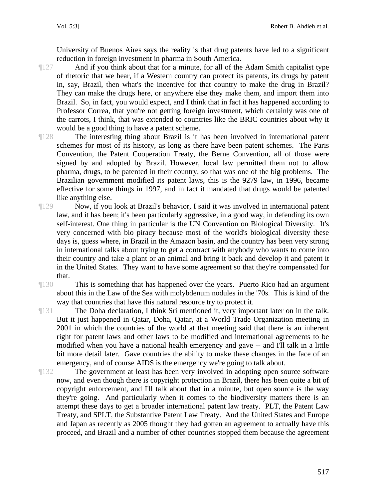University of Buenos Aires says the reality is that drug patents have led to a significant reduction in foreign investment in pharma in South America.

- ¶127 And if you think about that for a minute, for all of the Adam Smith capitalist type of rhetoric that we hear, if a Western country can protect its patents, its drugs by patent in, say, Brazil, then what's the incentive for that country to make the drug in Brazil? They can make the drugs here, or anywhere else they make them, and import them into Brazil. So, in fact, you would expect, and I think that in fact it has happened according to Professor Correa, that you're not getting foreign investment, which certainly was one of the carrots, I think, that was extended to countries like the BRIC countries about why it would be a good thing to have a patent scheme.
- ¶128 The interesting thing about Brazil is it has been involved in international patent schemes for most of its history, as long as there have been patent schemes. The Paris Convention, the Patent Cooperation Treaty, the Berne Convention, all of those were signed by and adopted by Brazil. However, local law permitted them not to allow pharma, drugs, to be patented in their country, so that was one of the big problems. The Brazilian government modified its patent laws, this is the 9279 law, in 1996, became effective for some things in 1997, and in fact it mandated that drugs would be patented like anything else.
- ¶129 Now, if you look at Brazil's behavior, I said it was involved in international patent law, and it has been; it's been particularly aggressive, in a good way, in defending its own self-interest. One thing in particular is the UN Convention on Biological Diversity. It's very concerned with bio piracy because most of the world's biological diversity these days is, guess where, in Brazil in the Amazon basin, and the country has been very strong in international talks about trying to get a contract with anybody who wants to come into their country and take a plant or an animal and bring it back and develop it and patent it in the United States. They want to have some agreement so that they're compensated for that.
- ¶130 This is something that has happened over the years. Puerto Rico had an argument about this in the Law of the Sea with molybdenum nodules in the '70s. This is kind of the way that countries that have this natural resource try to protect it.
- ¶131 The Doha declaration, I think Sri mentioned it, very important later on in the talk. But it just happened in Qatar, Doha, Qatar, at a World Trade Organization meeting in 2001 in which the countries of the world at that meeting said that there is an inherent right for patent laws and other laws to be modified and international agreements to be modified when you have a national health emergency and gave -- and I'll talk in a little bit more detail later. Gave countries the ability to make these changes in the face of an emergency, and of course AIDS is the emergency we're going to talk about.
- ¶132 The government at least has been very involved in adopting open source software now, and even though there is copyright protection in Brazil, there has been quite a bit of copyright enforcement, and I'll talk about that in a minute, but open source is the way they're going. And particularly when it comes to the biodiversity matters there is an attempt these days to get a broader international patent law treaty. PLT, the Patent Law Treaty, and SPLT, the Substantive Patent Law Treaty. And the United States and Europe and Japan as recently as 2005 thought they had gotten an agreement to actually have this proceed, and Brazil and a number of other countries stopped them because the agreement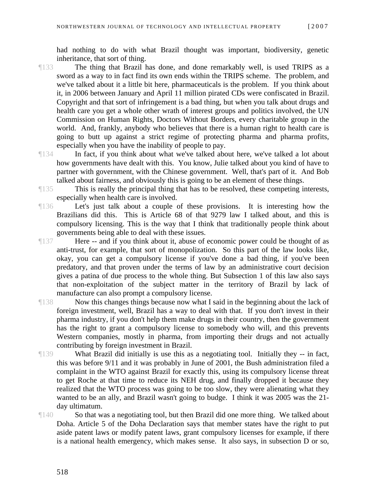had nothing to do with what Brazil thought was important, biodiversity, genetic inheritance, that sort of thing.

- ¶133 The thing that Brazil has done, and done remarkably well, is used TRIPS as a sword as a way to in fact find its own ends within the TRIPS scheme. The problem, and we've talked about it a little bit here, pharmaceuticals is the problem. If you think about it, in 2006 between January and April 11 million pirated CDs were confiscated in Brazil. Copyright and that sort of infringement is a bad thing, but when you talk about drugs and health care you get a whole other wrath of interest groups and politics involved, the UN Commission on Human Rights, Doctors Without Borders, every charitable group in the world. And, frankly, anybody who believes that there is a human right to health care is going to butt up against a strict regime of protecting pharma and pharma profits, especially when you have the inability of people to pay.
- ¶134 In fact, if you think about what we've talked about here, we've talked a lot about how governments have dealt with this. You know, Julie talked about you kind of have to partner with government, with the Chinese government. Well, that's part of it. And Bob talked about fairness, and obviously this is going to be an element of these things.
- ¶135 This is really the principal thing that has to be resolved, these competing interests, especially when health care is involved.
- ¶136 Let's just talk about a couple of these provisions. It is interesting how the Brazilians did this. This is Article 68 of that 9279 law I talked about, and this is compulsory licensing. This is the way that I think that traditionally people think about governments being able to deal with these issues.
- ¶137 Here -- and if you think about it, abuse of economic power could be thought of as anti-trust, for example, that sort of monopolization. So this part of the law looks like, okay, you can get a compulsory license if you've done a bad thing, if you've been predatory, and that proven under the terms of law by an administrative court decision gives a patina of due process to the whole thing. But Subsection 1 of this law also says that non-exploitation of the subject matter in the territory of Brazil by lack of manufacture can also prompt a compulsory license.
- ¶138 Now this changes things because now what I said in the beginning about the lack of foreign investment, well, Brazil has a way to deal with that. If you don't invest in their pharma industry, if you don't help them make drugs in their country, then the government has the right to grant a compulsory license to somebody who will, and this prevents Western companies, mostly in pharma, from importing their drugs and not actually contributing by foreign investment in Brazil.
- ¶139 What Brazil did initially is use this as a negotiating tool. Initially they -- in fact, this was before 9/11 and it was probably in June of 2001, the Bush administration filed a complaint in the WTO against Brazil for exactly this, using its compulsory license threat to get Roche at that time to reduce its NEH drug, and finally dropped it because they realized that the WTO process was going to be too slow, they were alienating what they wanted to be an ally, and Brazil wasn't going to budge. I think it was 2005 was the 21 day ultimatum.
- ¶140 So that was a negotiating tool, but then Brazil did one more thing. We talked about Doha. Article 5 of the Doha Declaration says that member states have the right to put aside patent laws or modify patent laws, grant compulsory licenses for example, if there is a national health emergency, which makes sense. It also says, in subsection D or so,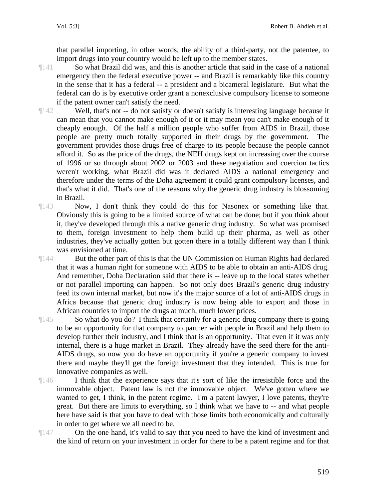that parallel importing, in other words, the ability of a third-party, not the patentee, to import drugs into your country would be left up to the member states.

¶141 So what Brazil did was, and this is another article that said in the case of a national emergency then the federal executive power -- and Brazil is remarkably like this country in the sense that it has a federal -- a president and a bicameral legislature. But what the federal can do is by executive order grant a nonexclusive compulsory license to someone if the patent owner can't satisfy the need.

¶142 Well, that's not -- do not satisfy or doesn't satisfy is interesting language because it can mean that you cannot make enough of it or it may mean you can't make enough of it cheaply enough. Of the half a million people who suffer from AIDS in Brazil, those people are pretty much totally supported in their drugs by the government. The government provides those drugs free of charge to its people because the people cannot afford it. So as the price of the drugs, the NEH drugs kept on increasing over the course of 1996 or so through about 2002 or 2003 and these negotiation and coercion tactics weren't working, what Brazil did was it declared AIDS a national emergency and therefore under the terms of the Doha agreement it could grant compulsory licenses, and that's what it did. That's one of the reasons why the generic drug industry is blossoming in Brazil.

¶143 Now, I don't think they could do this for Nasonex or something like that. Obviously this is going to be a limited source of what can be done; but if you think about it, they've developed through this a native generic drug industry. So what was promised to them, foreign investment to help them build up their pharma, as well as other industries, they've actually gotten but gotten there in a totally different way than I think was envisioned at time.

¶144 But the other part of this is that the UN Commission on Human Rights had declared that it was a human right for someone with AIDS to be able to obtain an anti-AIDS drug. And remember, Doha Declaration said that there is -- leave up to the local states whether or not parallel importing can happen. So not only does Brazil's generic drug industry feed its own internal market, but now it's the major source of a lot of anti-AIDS drugs in Africa because that generic drug industry is now being able to export and those in African countries to import the drugs at much, much lower prices.

¶145 So what do you do? I think that certainly for a generic drug company there is going to be an opportunity for that company to partner with people in Brazil and help them to develop further their industry, and I think that is an opportunity. That even if it was only internal, there is a huge market in Brazil. They already have the seed there for the anti-AIDS drugs, so now you do have an opportunity if you're a generic company to invest there and maybe they'll get the foreign investment that they intended. This is true for innovative companies as well.

 $\P 146$  I think that the experience says that it's sort of like the irresistible force and the immovable object. Patent law is not the immovable object. We've gotten where we wanted to get, I think, in the patent regime. I'm a patent lawyer, I love patents, they're great. But there are limits to everything, so I think what we have to -- and what people here have said is that you have to deal with those limits both economically and culturally in order to get where we all need to be.

¶147 On the one hand, it's valid to say that you need to have the kind of investment and the kind of return on your investment in order for there to be a patent regime and for that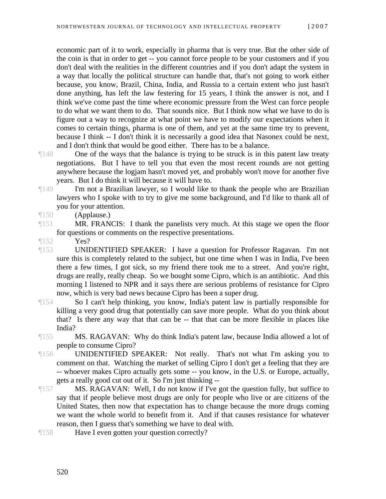economic part of it to work, especially in pharma that is very true. But the other side of the coin is that in order to get -- you cannot force people to be your customers and if you don't deal with the realities in the different countries and if you don't adapt the system in a way that locally the political structure can handle that, that's not going to work either because, you know, Brazil, China, India, and Russia to a certain extent who just hasn't done anything, has left the law festering for 15 years, I think the answer is not, and I think we've come past the time where economic pressure from the West can force people to do what we want them to do. That sounds nice. But I think now what we have to do is figure out a way to recognize at what point we have to modify our expectations when it comes to certain things, pharma is one of them, and yet at the same time try to prevent, because I think -- I don't think it is necessarily a good idea that Nasonex could be next, and I don't think that would be good either. There has to be a balance.

- ¶148 One of the ways that the balance is trying to be struck is in this patent law treaty negotiations. But I have to tell you that even the most recent rounds are not getting anywhere because the logjam hasn't moved yet, and probably won't move for another five years. But I do think it will because it will have to.
- ¶149 I'm not a Brazilian lawyer, so I would like to thank the people who are Brazilian lawyers who I spoke with to try to give me some background, and I'd like to thank all of you for your attention.
- ¶150 (Applause.)
- ¶151 MR. FRANCIS: I thank the panelists very much. At this stage we open the floor for questions or comments on the respective presentations.
- $\P$ 152 Yes?
- ¶153 UNIDENTIFIED SPEAKER: I have a question for Professor Ragavan. I'm not sure this is completely related to the subject, but one time when I was in India, I've been there a few times, I got sick, so my friend there took me to a street. And you're right, drugs are really, really cheap. So we bought some Cipro, which is an antibiotic. And this morning I listened to NPR and it says there are serious problems of resistance for Cipro now, which is very bad news because Cipro has been a super drug.
- ¶154 So I can't help thinking, you know, India's patent law is partially responsible for killing a very good drug that potentially can save more people. What do you think about that? Is there any way that that can be -- that that can be more flexible in places like India?
- ¶155 MS. RAGAVAN: Why do think India's patent law, because India allowed a lot of people to consume Cipro?
- ¶156 UNIDENTIFIED SPEAKER: Not really. That's not what I'm asking you to comment on that. Watching the market of selling Cipro I don't get a feeling that they are -- whoever makes Cipro actually gets some -- you know, in the U.S. or Europe, actually, gets a really good cut out of it. So I'm just thinking --
- ¶157 MS. RAGAVAN: Well, I do not know if I've got the question fully, but suffice to say that if people believe most drugs are only for people who live or are citizens of the United States, then now that expectation has to change because the more drugs coming we want the whole world to benefit from it. And if that causes resistance for whatever reason, then I guess that's something we have to deal with.
- ¶158 Have I even gotten your question correctly?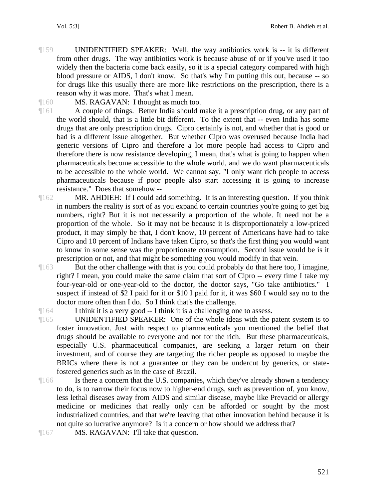- ¶159 UNIDENTIFIED SPEAKER: Well, the way antibiotics work is -- it is different from other drugs. The way antibiotics work is because abuse of or if you've used it too widely then the bacteria come back easily, so it is a special category compared with high blood pressure or AIDS, I don't know. So that's why I'm putting this out, because -- so for drugs like this usually there are more like restrictions on the prescription, there is a reason why it was more. That's what I mean.
- ¶160 MS. RAGAVAN: I thought as much too.

¶161 A couple of things. Better India should make it a prescription drug, or any part of the world should, that is a little bit different. To the extent that -- even India has some drugs that are only prescription drugs. Cipro certainly is not, and whether that is good or bad is a different issue altogether. But whether Cipro was overused because India had generic versions of Cipro and therefore a lot more people had access to Cipro and therefore there is now resistance developing, I mean, that's what is going to happen when pharmaceuticals become accessible to the whole world, and we do want pharmaceuticals to be accessible to the whole world. We cannot say, "I only want rich people to access pharmaceuticals because if poor people also start accessing it is going to increase resistance." Does that somehow --

¶162 MR. AHDIEH: If I could add something. It is an interesting question. If you think in numbers the reality is sort of as you expand to certain countries you're going to get big numbers, right? But it is not necessarily a proportion of the whole. It need not be a proportion of the whole. So it may not be because it is disproportionately a low-priced product, it may simply be that, I don't know, 10 percent of Americans have had to take Cipro and 10 percent of Indians have taken Cipro, so that's the first thing you would want to know in some sense was the proportionate consumption. Second issue would be is it prescription or not, and that might be something you would modify in that vein.

¶163 But the other challenge with that is you could probably do that here too, I imagine, right? I mean, you could make the same claim that sort of Cipro -- every time I take my four-year-old or one-year-old to the doctor, the doctor says, "Go take antibiotics." I suspect if instead of \$2 I paid for it or \$10 I paid for it, it was \$60 I would say no to the doctor more often than I do. So I think that's the challenge.

¶164 I think it is a very good -- I think it is a challenging one to assess.

¶165 UNIDENTIFIED SPEAKER: One of the whole ideas with the patent system is to foster innovation. Just with respect to pharmaceuticals you mentioned the belief that drugs should be available to everyone and not for the rich. But these pharmaceuticals, especially U.S. pharmaceutical companies, are seeking a larger return on their investment, and of course they are targeting the richer people as opposed to maybe the BRICs where there is not a guarantee or they can be undercut by generics, or statefostered generics such as in the case of Brazil.

- ¶166 Is there a concern that the U.S. companies, which they've already shown a tendency to do, is to narrow their focus now to higher-end drugs, such as prevention of, you know, less lethal diseases away from AIDS and similar disease, maybe like Prevacid or allergy medicine or medicines that really only can be afforded or sought by the most industrialized countries, and that we're leaving that other innovation behind because it is not quite so lucrative anymore? Is it a concern or how should we address that?
- ¶167 MS. RAGAVAN: I'll take that question.

521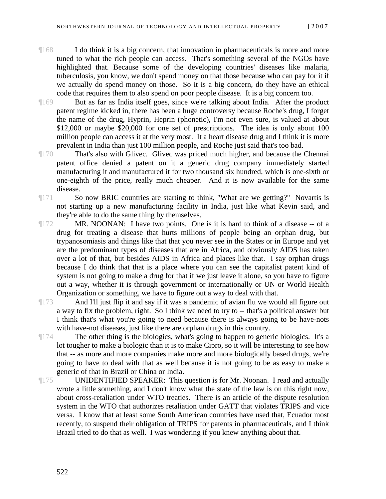- ¶168 I do think it is a big concern, that innovation in pharmaceuticals is more and more tuned to what the rich people can access. That's something several of the NGOs have highlighted that. Because some of the developing countries' diseases like malaria, tuberculosis, you know, we don't spend money on that those because who can pay for it if we actually do spend money on those. So it is a big concern, do they have an ethical code that requires them to also spend on poor people disease. It is a big concern too.
- ¶169 But as far as India itself goes, since we're talking about India. After the product patent regime kicked in, there has been a huge controversy because Roche's drug, I forget the name of the drug, Hyprin, Heprin (phonetic), I'm not even sure, is valued at about \$12,000 or maybe \$20,000 for one set of prescriptions. The idea is only about 100 million people can access it at the very most. It a heart disease drug and I think it is more prevalent in India than just 100 million people, and Roche just said that's too bad.
- ¶170 That's also with Glivec. Glivec was priced much higher, and because the Chennai patent office denied a patent on it a generic drug company immediately started manufacturing it and manufactured it for two thousand six hundred, which is one-sixth or one-eighth of the price, really much cheaper. And it is now available for the same disease.
- ¶171 So now BRIC countries are starting to think, "What are we getting?" Novartis is not starting up a new manufacturing facility in India, just like what Kevin said, and they're able to do the same thing by themselves.
- ¶172 MR. NOONAN: I have two points. One is it is hard to think of a disease -- of a drug for treating a disease that hurts millions of people being an orphan drug, but trypanosomiasis and things like that that you never see in the States or in Europe and yet are the predominant types of diseases that are in Africa, and obviously AIDS has taken over a lot of that, but besides AIDS in Africa and places like that. I say orphan drugs because I do think that that is a place where you can see the capitalist patent kind of system is not going to make a drug for that if we just leave it alone, so you have to figure out a way, whether it is through government or internationally or UN or World Health Organization or something, we have to figure out a way to deal with that.
- ¶173 And I'll just flip it and say if it was a pandemic of avian flu we would all figure out a way to fix the problem, right. So I think we need to try to -- that's a political answer but I think that's what you're going to need because there is always going to be have-nots with have-not diseases, just like there are orphan drugs in this country.
- ¶174 The other thing is the biologics, what's going to happen to generic biologics. It's a lot tougher to make a biologic than it is to make Cipro, so it will be interesting to see how that -- as more and more companies make more and more biologically based drugs, we're going to have to deal with that as well because it is not going to be as easy to make a generic of that in Brazil or China or India.
- ¶175 UNIDENTIFIED SPEAKER: This question is for Mr. Noonan. I read and actually wrote a little something, and I don't know what the state of the law is on this right now, about cross-retaliation under WTO treaties. There is an article of the dispute resolution system in the WTO that authorizes retaliation under GATT that violates TRIPS and vice versa. I know that at least some South American countries have used that, Ecuador most recently, to suspend their obligation of TRIPS for patents in pharmaceuticals, and I think Brazil tried to do that as well. I was wondering if you knew anything about that.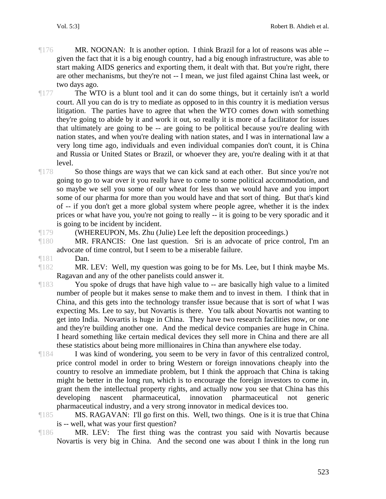- ¶176 MR. NOONAN: It is another option. I think Brazil for a lot of reasons was able given the fact that it is a big enough country, had a big enough infrastructure, was able to start making AIDS generics and exporting them, it dealt with that. But you're right, there are other mechanisms, but they're not -- I mean, we just filed against China last week, or two days ago.
- 

¶177 The WTO is a blunt tool and it can do some things, but it certainly isn't a world court. All you can do is try to mediate as opposed to in this country it is mediation versus litigation. The parties have to agree that when the WTO comes down with something they're going to abide by it and work it out, so really it is more of a facilitator for issues that ultimately are going to be -- are going to be political because you're dealing with nation states, and when you're dealing with nation states, and I was in international law a very long time ago, individuals and even individual companies don't count, it is China and Russia or United States or Brazil, or whoever they are, you're dealing with it at that level.

- ¶178 So those things are ways that we can kick sand at each other. But since you're not going to go to war over it you really have to come to some political accommodation, and so maybe we sell you some of our wheat for less than we would have and you import some of our pharma for more than you would have and that sort of thing. But that's kind of -- if you don't get a more global system where people agree, whether it is the index prices or what have you, you're not going to really -- it is going to be very sporadic and it is going to be incident by incident.
- 

¶179 (WHEREUPON, Ms. Zhu (Julie) Lee left the deposition proceedings.)

- ¶180 MR. FRANCIS: One last question. Sri is an advocate of price control, I'm an advocate of time control, but I seem to be a miserable failure.
- ¶181 Dan.

¶182 MR. LEV: Well, my question was going to be for Ms. Lee, but I think maybe Ms. Ragavan and any of the other panelists could answer it.

- ¶183 You spoke of drugs that have high value to -- are basically high value to a limited number of people but it makes sense to make them and to invest in them. I think that in China, and this gets into the technology transfer issue because that is sort of what I was expecting Ms. Lee to say, but Novartis is there. You talk about Novartis not wanting to get into India. Novartis is huge in China. They have two research facilities now, or one and they're building another one. And the medical device companies are huge in China. I heard something like certain medical devices they sell more in China and there are all these statistics about being more millionaires in China than anywhere else today.
- ¶184 I was kind of wondering, you seem to be very in favor of this centralized control, price control model in order to bring Western or foreign innovations cheaply into the country to resolve an immediate problem, but I think the approach that China is taking might be better in the long run, which is to encourage the foreign investors to come in, grant them the intellectual property rights, and actually now you see that China has this developing nascent pharmaceutical, innovation pharmaceutical not generic pharmaceutical industry, and a very strong innovator in medical devices too.
- ¶185 MS. RAGAVAN: I'll go first on this. Well, two things. One is it is true that China is -- well, what was your first question?
- ¶186 MR. LEV: The first thing was the contrast you said with Novartis because Novartis is very big in China. And the second one was about I think in the long run